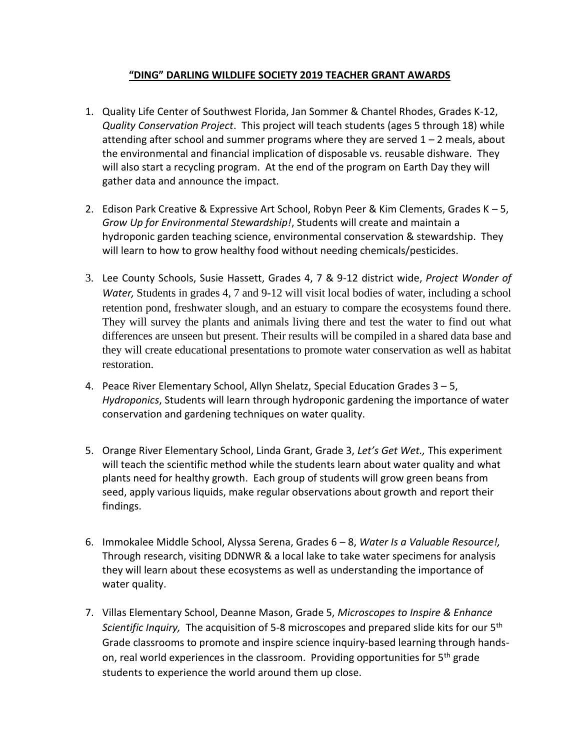## **"DING" DARLING WILDLIFE SOCIETY 2019 TEACHER GRANT AWARDS**

- 1. Quality Life Center of Southwest Florida, Jan Sommer & Chantel Rhodes, Grades K-12, *Quality Conservation Project*. This project will teach students (ages 5 through 18) while attending after school and summer programs where they are served  $1 - 2$  meals, about the environmental and financial implication of disposable vs. reusable dishware. They will also start a recycling program. At the end of the program on Earth Day they will gather data and announce the impact.
- 2. Edison Park Creative & Expressive Art School, Robyn Peer & Kim Clements, Grades K 5, *Grow Up for Environmental Stewardship!*, Students will create and maintain a hydroponic garden teaching science, environmental conservation & stewardship. They will learn to how to grow healthy food without needing chemicals/pesticides.
- 3. Lee County Schools, Susie Hassett, Grades 4, 7 & 9-12 district wide, *Project Wonder of Water, Students in grades 4, 7 and 9-12 will visit local bodies of water, including a school* retention pond, freshwater slough, and an estuary to compare the ecosystems found there. They will survey the plants and animals living there and test the water to find out what differences are unseen but present. Their results will be compiled in a shared data base and they will create educational presentations to promote water conservation as well as habitat restoration.
- 4. Peace River Elementary School, Allyn Shelatz, Special Education Grades 3 5, *Hydroponics*, Students will learn through hydroponic gardening the importance of water conservation and gardening techniques on water quality.
- 5. Orange River Elementary School, Linda Grant, Grade 3, *Let's Get Wet.,* This experiment will teach the scientific method while the students learn about water quality and what plants need for healthy growth. Each group of students will grow green beans from seed, apply various liquids, make regular observations about growth and report their findings.
- 6. Immokalee Middle School, Alyssa Serena, Grades 6 8, *Water Is a Valuable Resource!,* Through research, visiting DDNWR & a local lake to take water specimens for analysis they will learn about these ecosystems as well as understanding the importance of water quality.
- 7. Villas Elementary School, Deanne Mason, Grade 5, *Microscopes to Inspire & Enhance Scientific Inquiry,* The acquisition of 5-8 microscopes and prepared slide kits for our 5<sup>th</sup> Grade classrooms to promote and inspire science inquiry-based learning through handson, real world experiences in the classroom. Providing opportunities for 5<sup>th</sup> grade students to experience the world around them up close.